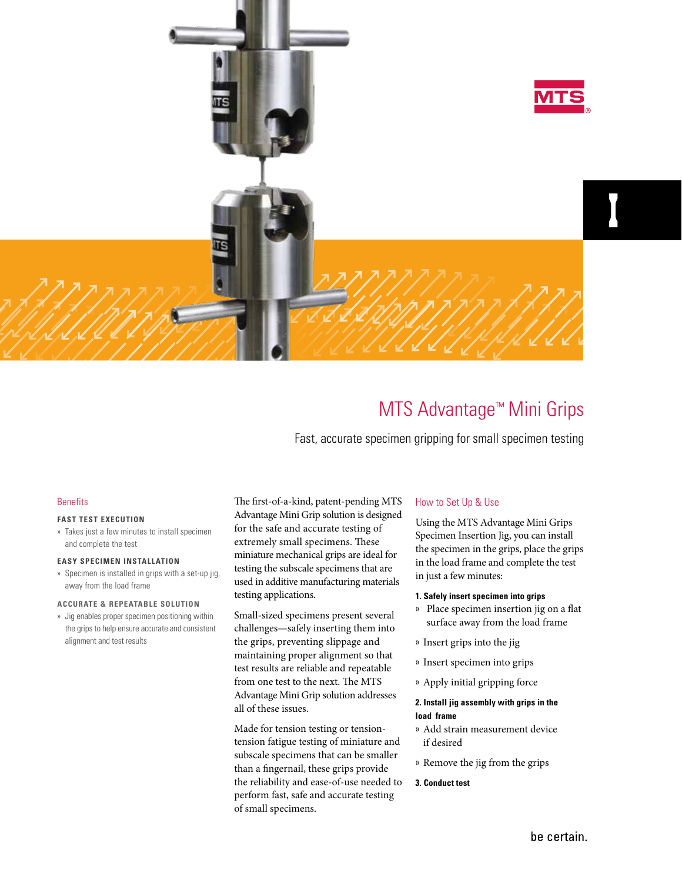

# MTS Advantage™ Mini Grips

Fast, accurate specimen gripping for small specimen testing

## **Benefits**

#### **FAST TEST EXECUTION**

» Takes just a few minutes to install specimen and complete the test

#### **EASY SPECIMEN INSTALLATION**

» Specimen is installed in grips with a set-up jig, away from the load frame

#### **ACCURATE & REPEATABLE SOLUTION**

» Jig enables proper specimen positioning within the grips to help ensure accurate and consistent alignment and test results

The first-of-a-kind, patent-pending MTS Advantage Mini Grip solution is designed for the safe and accurate testing of extremely small specimens. These miniature mechanical grips are ideal for testing the subscale specimens that are used in additive manufacturing materials testing applications.

Small-sized specimens present several challenges—safely inserting them into the grips, preventing slippage and maintaining proper alignment so that test results are reliable and repeatable from one test to the next. The MTS Advantage Mini Grip solution addresses all of these issues.

Made for tension testing or tensiontension fatigue testing of miniature and subscale specimens that can be smaller than a fingernail, these grips provide the reliability and ease-of-use needed to perform fast, safe and accurate testing of small specimens.

## How to Set Up & Use

Using the MTS Advantage Mini Grips Specimen Insertion Jig, you can install the specimen in the grips, place the grips in the load frame and complete the test in just a few minutes:

#### **1. Safely insert specimen into grips**

- » Place specimen insertion jig on a flat surface away from the load frame
- » Insert grips into the jig
- » Insert specimen into grips
- » Apply initial gripping force

### **2. Install jig assembly with grips in the load frame**

- » Add strain measurement device if desired
- » Remove the jig from the grips
- **3. Conduct test**